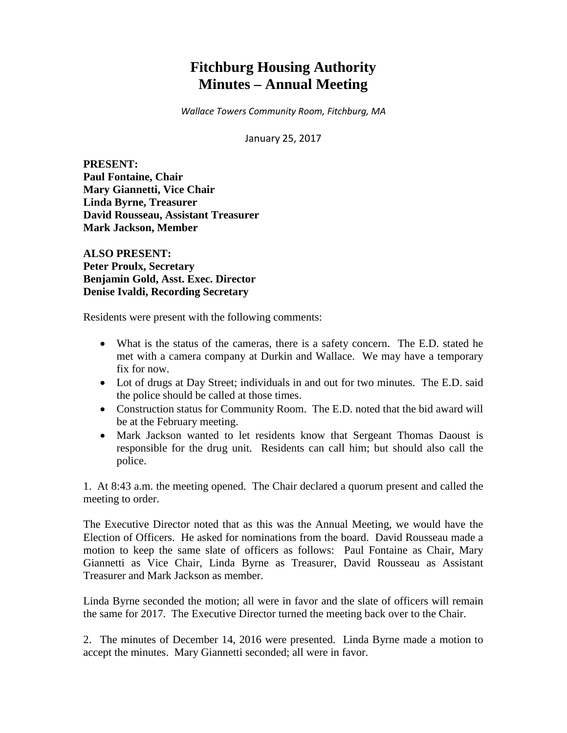# **Fitchburg Housing Authority Minutes – Annual Meeting**

*Wallace Towers Community Room, Fitchburg, MA*

January 25, 2017

**PRESENT: Paul Fontaine, Chair Mary Giannetti, Vice Chair Linda Byrne, Treasurer David Rousseau, Assistant Treasurer Mark Jackson, Member**

**ALSO PRESENT: Peter Proulx, Secretary Benjamin Gold, Asst. Exec. Director Denise Ivaldi, Recording Secretary**

Residents were present with the following comments:

- What is the status of the cameras, there is a safety concern. The E.D. stated he met with a camera company at Durkin and Wallace. We may have a temporary fix for now.
- Lot of drugs at Day Street; individuals in and out for two minutes. The E.D. said the police should be called at those times.
- Construction status for Community Room. The E.D. noted that the bid award will be at the February meeting.
- Mark Jackson wanted to let residents know that Sergeant Thomas Daoust is responsible for the drug unit. Residents can call him; but should also call the police.

1. At 8:43 a.m. the meeting opened. The Chair declared a quorum present and called the meeting to order.

The Executive Director noted that as this was the Annual Meeting, we would have the Election of Officers. He asked for nominations from the board. David Rousseau made a motion to keep the same slate of officers as follows: Paul Fontaine as Chair, Mary Giannetti as Vice Chair, Linda Byrne as Treasurer, David Rousseau as Assistant Treasurer and Mark Jackson as member.

Linda Byrne seconded the motion; all were in favor and the slate of officers will remain the same for 2017. The Executive Director turned the meeting back over to the Chair.

2. The minutes of December 14, 2016 were presented. Linda Byrne made a motion to accept the minutes. Mary Giannetti seconded; all were in favor.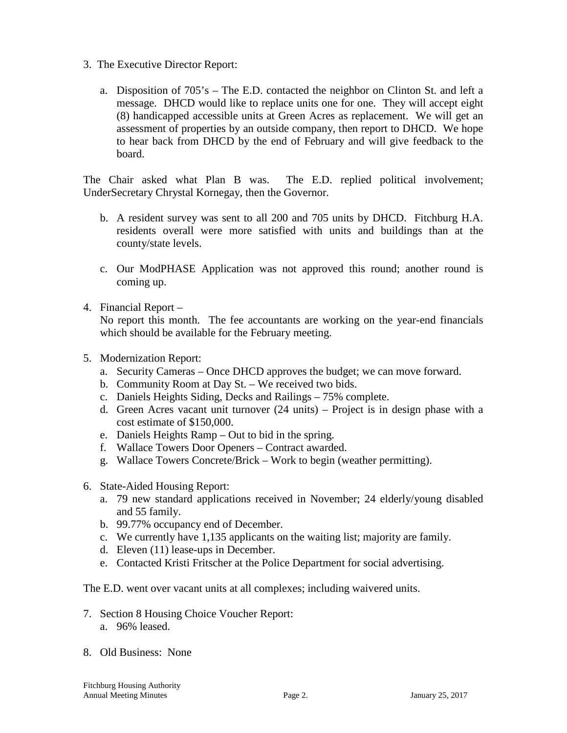- 3. The Executive Director Report:
	- a. Disposition of 705's The E.D. contacted the neighbor on Clinton St. and left a message. DHCD would like to replace units one for one. They will accept eight (8) handicapped accessible units at Green Acres as replacement. We will get an assessment of properties by an outside company, then report to DHCD. We hope to hear back from DHCD by the end of February and will give feedback to the board.

The Chair asked what Plan B was. The E.D. replied political involvement; UnderSecretary Chrystal Kornegay, then the Governor.

- b. A resident survey was sent to all 200 and 705 units by DHCD. Fitchburg H.A. residents overall were more satisfied with units and buildings than at the county/state levels.
- c. Our ModPHASE Application was not approved this round; another round is coming up.
- 4. Financial Report –

No report this month. The fee accountants are working on the year-end financials which should be available for the February meeting.

- 5. Modernization Report:
	- a. Security Cameras Once DHCD approves the budget; we can move forward.
	- b. Community Room at Day St. We received two bids.
	- c. Daniels Heights Siding, Decks and Railings 75% complete.
	- d. Green Acres vacant unit turnover (24 units) Project is in design phase with a cost estimate of \$150,000.
	- e. Daniels Heights Ramp Out to bid in the spring.
	- f. Wallace Towers Door Openers Contract awarded.
	- g. Wallace Towers Concrete/Brick Work to begin (weather permitting).
- 6. State-Aided Housing Report:
	- a. 79 new standard applications received in November; 24 elderly/young disabled and 55 family.
	- b. 99.77% occupancy end of December.
	- c. We currently have 1,135 applicants on the waiting list; majority are family.
	- d. Eleven (11) lease-ups in December.
	- e. Contacted Kristi Fritscher at the Police Department for social advertising.

The E.D. went over vacant units at all complexes; including waivered units.

- 7. Section 8 Housing Choice Voucher Report:
	- a. 96% leased.
- 8. Old Business: None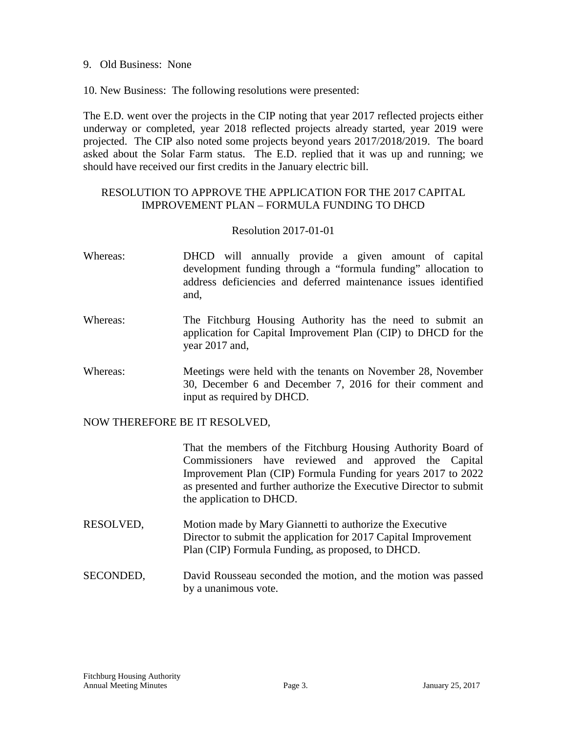9. Old Business: None

10. New Business: The following resolutions were presented:

The E.D. went over the projects in the CIP noting that year 2017 reflected projects either underway or completed, year 2018 reflected projects already started, year 2019 were projected. The CIP also noted some projects beyond years 2017/2018/2019. The board asked about the Solar Farm status. The E.D. replied that it was up and running; we should have received our first credits in the January electric bill.

# RESOLUTION TO APPROVE THE APPLICATION FOR THE 2017 CAPITAL IMPROVEMENT PLAN – FORMULA FUNDING TO DHCD

#### Resolution 2017-01-01

- Whereas: DHCD will annually provide a given amount of capital development funding through a "formula funding" allocation to address deficiencies and deferred maintenance issues identified and,
- Whereas: The Fitchburg Housing Authority has the need to submit an application for Capital Improvement Plan (CIP) to DHCD for the year 2017 and,
- Whereas: Meetings were held with the tenants on November 28, November 30, December 6 and December 7, 2016 for their comment and input as required by DHCD.

#### NOW THEREFORE BE IT RESOLVED,

That the members of the Fitchburg Housing Authority Board of Commissioners have reviewed and approved the Capital Improvement Plan (CIP) Formula Funding for years 2017 to 2022 as presented and further authorize the Executive Director to submit the application to DHCD.

- RESOLVED, Motion made by Mary Giannetti to authorize the Executive Director to submit the application for 2017 Capital Improvement Plan (CIP) Formula Funding, as proposed, to DHCD.
- SECONDED, David Rousseau seconded the motion, and the motion was passed by a unanimous vote.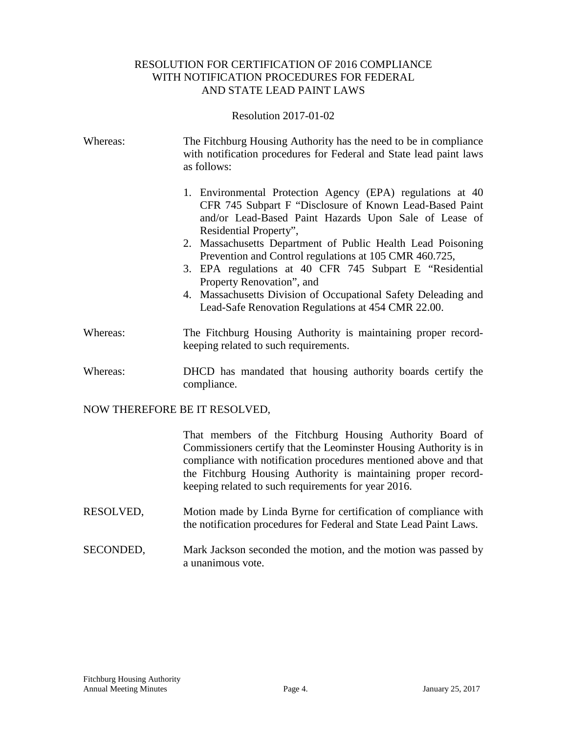## RESOLUTION FOR CERTIFICATION OF 2016 COMPLIANCE WITH NOTIFICATION PROCEDURES FOR FEDERAL AND STATE LEAD PAINT LAWS

Resolution 2017-01-02

| Whereas:                      | The Fitchburg Housing Authority has the need to be in compliance<br>with notification procedures for Federal and State lead paint laws<br>as follows:                                                                                                                                                                                                                                                                                                                                                                                              |
|-------------------------------|----------------------------------------------------------------------------------------------------------------------------------------------------------------------------------------------------------------------------------------------------------------------------------------------------------------------------------------------------------------------------------------------------------------------------------------------------------------------------------------------------------------------------------------------------|
|                               | 1. Environmental Protection Agency (EPA) regulations at 40<br>CFR 745 Subpart F "Disclosure of Known Lead-Based Paint<br>and/or Lead-Based Paint Hazards Upon Sale of Lease of<br>Residential Property",<br>2. Massachusetts Department of Public Health Lead Poisoning<br>Prevention and Control regulations at 105 CMR 460.725,<br>3. EPA regulations at 40 CFR 745 Subpart E "Residential"<br>Property Renovation", and<br>4. Massachusetts Division of Occupational Safety Deleading and<br>Lead-Safe Renovation Regulations at 454 CMR 22.00. |
| Whereas:                      | The Fitchburg Housing Authority is maintaining proper record-<br>keeping related to such requirements.                                                                                                                                                                                                                                                                                                                                                                                                                                             |
| Whereas:                      | DHCD has mandated that housing authority boards certify the<br>compliance.                                                                                                                                                                                                                                                                                                                                                                                                                                                                         |
| NOW THEREFORE BE IT RESOLVED, |                                                                                                                                                                                                                                                                                                                                                                                                                                                                                                                                                    |
|                               | That members of the Fitchburg Housing Authority Board of<br>Commissioners certify that the Leominster Housing Authority is in<br>compliance with notification procedures mentioned above and that<br>the Fitchburg Housing Authority is maintaining proper record-<br>keeping related to such requirements for year 2016.                                                                                                                                                                                                                          |

- RESOLVED, Motion made by Linda Byrne for certification of compliance with the notification procedures for Federal and State Lead Paint Laws.
- SECONDED, Mark Jackson seconded the motion, and the motion was passed by a unanimous vote.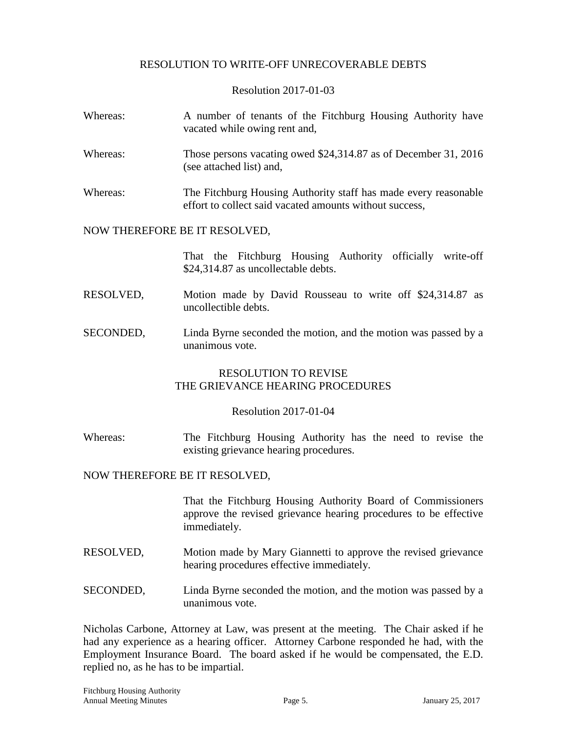## RESOLUTION TO WRITE-OFF UNRECOVERABLE DEBTS

Resolution 2017-01-03

| Whereas: | A number of tenants of the Fitchburg Housing Authority have<br>vacated while owing rent and,                               |
|----------|----------------------------------------------------------------------------------------------------------------------------|
| Whereas: | Those persons vacating owed $$24,314.87$ as of December 31, 2016<br>(see attached list) and,                               |
| Whereas: | The Fitchburg Housing Authority staff has made every reasonable<br>effort to collect said vacated amounts without success, |

#### NOW THEREFORE BE IT RESOLVED,

That the Fitchburg Housing Authority officially write-off \$24,314.87 as uncollectable debts.

- RESOLVED, Motion made by David Rousseau to write off \$24,314.87 as uncollectible debts.
- SECONDED, Linda Byrne seconded the motion, and the motion was passed by a unanimous vote.

#### RESOLUTION TO REVISE THE GRIEVANCE HEARING PROCEDURES

#### Resolution 2017-01-04

Whereas: The Fitchburg Housing Authority has the need to revise the existing grievance hearing procedures.

#### NOW THEREFORE BE IT RESOLVED,

That the Fitchburg Housing Authority Board of Commissioners approve the revised grievance hearing procedures to be effective immediately.

- RESOLVED, Motion made by Mary Giannetti to approve the revised grievance hearing procedures effective immediately.
- SECONDED, Linda Byrne seconded the motion, and the motion was passed by a unanimous vote.

Nicholas Carbone, Attorney at Law, was present at the meeting. The Chair asked if he had any experience as a hearing officer. Attorney Carbone responded he had, with the Employment Insurance Board. The board asked if he would be compensated, the E.D. replied no, as he has to be impartial.